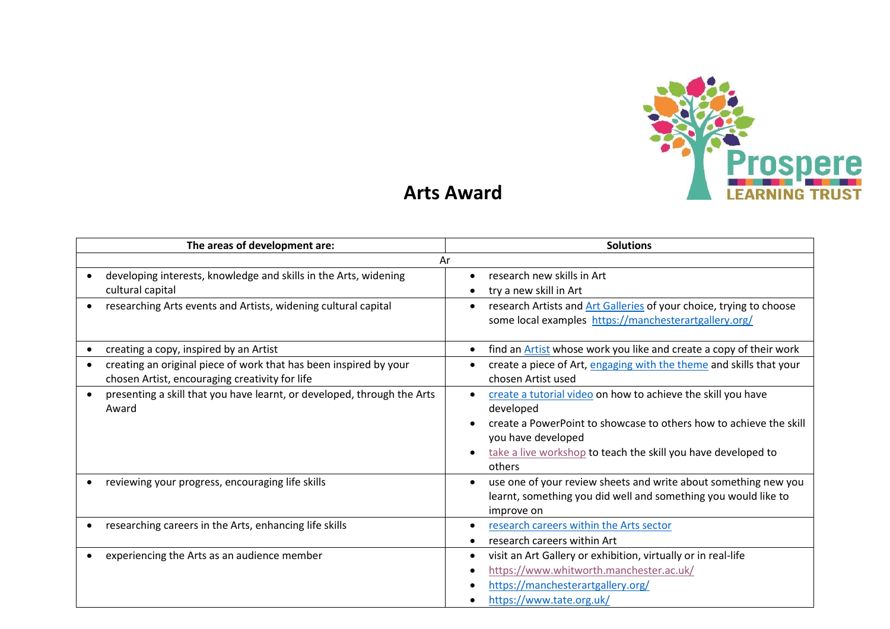

## **Arts Award**

| The areas of development are:                                                                                       | <b>Solutions</b>                                                                                                                                                                                                                                 |
|---------------------------------------------------------------------------------------------------------------------|--------------------------------------------------------------------------------------------------------------------------------------------------------------------------------------------------------------------------------------------------|
| Ar                                                                                                                  |                                                                                                                                                                                                                                                  |
| developing interests, knowledge and skills in the Arts, widening<br>cultural capital                                | research new skills in Art<br>try a new skill in Art                                                                                                                                                                                             |
| researching Arts events and Artists, widening cultural capital                                                      | research Artists and Art Galleries of your choice, trying to choose<br>some local examples https://manchesterartgallery.org/                                                                                                                     |
| creating a copy, inspired by an Artist                                                                              | find an <b>Artist</b> whose work you like and create a copy of their work                                                                                                                                                                        |
| creating an original piece of work that has been inspired by your<br>chosen Artist, encouraging creativity for life | create a piece of Art, engaging with the theme and skills that your<br>chosen Artist used                                                                                                                                                        |
| presenting a skill that you have learnt, or developed, through the Arts<br>Award                                    | create a tutorial video on how to achieve the skill you have<br>developed<br>create a PowerPoint to showcase to others how to achieve the skill<br>you have developed<br>take a live workshop to teach the skill you have developed to<br>others |
| reviewing your progress, encouraging life skills                                                                    | use one of your review sheets and write about something new you<br>learnt, something you did well and something you would like to<br>improve on                                                                                                  |
| researching careers in the Arts, enhancing life skills                                                              | research careers within the Arts sector<br>research careers within Art                                                                                                                                                                           |
| experiencing the Arts as an audience member                                                                         | visit an Art Gallery or exhibition, virtually or in real-life<br>https://www.whitworth.manchester.ac.uk/<br>https://manchesterartgallery.org/<br>https://www.tate.org.uk/                                                                        |